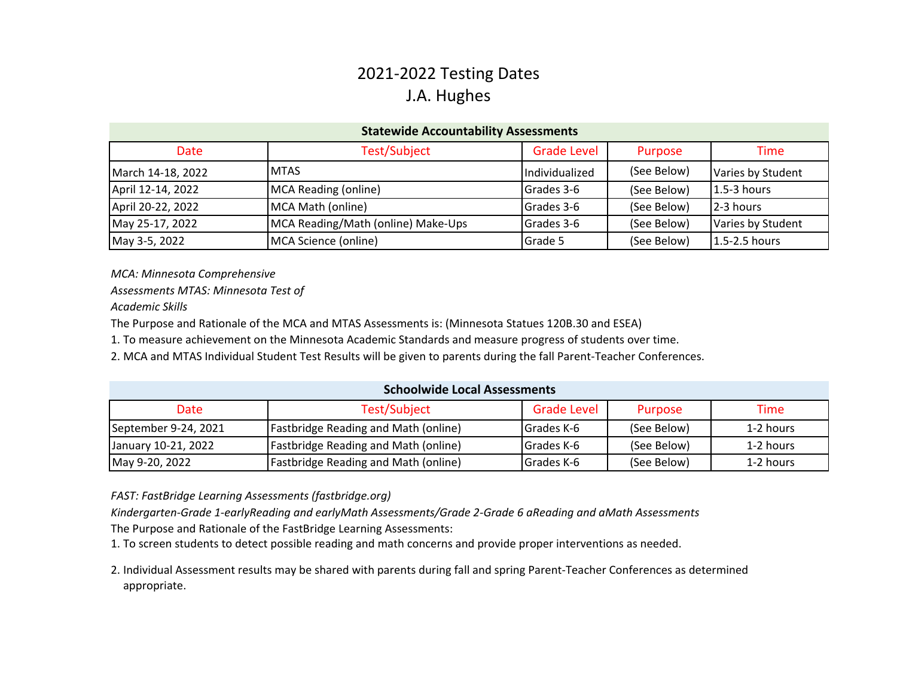## 2021‐2022 Testing Dates J.A. Hughes

| <b>Statewide Accountability Assessments</b> |                                    |                    |             |                   |  |  |  |
|---------------------------------------------|------------------------------------|--------------------|-------------|-------------------|--|--|--|
| Date                                        | Test/Subject                       | <b>Grade Level</b> | Purpose     | Time              |  |  |  |
| March 14-18, 2022                           | <b>MTAS</b>                        | Individualized     | (See Below) | Varies by Student |  |  |  |
| April 12-14, 2022                           | <b>MCA Reading (online)</b>        | Grades 3-6         | (See Below) | $1.5-3$ hours     |  |  |  |
| April 20-22, 2022                           | MCA Math (online)                  | Grades 3-6         | (See Below) | 2-3 hours         |  |  |  |
| May 25-17, 2022                             | MCA Reading/Math (online) Make-Ups | Grades 3-6         | (See Below) | Varies by Student |  |  |  |
| May 3-5, 2022                               | MCA Science (online)               | Grade 5            | (See Below) | 1.5-2.5 hours     |  |  |  |

*MCA: Minnesota Comprehensive*

*Assessments MTAS: Minnesota Test of*

*Academic Skills*

The Purpose and Rationale of the MCA and MTAS Assessments is: (Minnesota Statues 120B.30 and ESEA)

1. To measure achievement on the Minnesota Academic Standards and measure progress of students over time.

2. MCA and MTAS Individual Student Test Results will be given to parents during the fall Parent‐Teacher Conferences.

| <b>Schoolwide Local Assessments</b> |                                             |                    |             |           |  |  |  |
|-------------------------------------|---------------------------------------------|--------------------|-------------|-----------|--|--|--|
| Date                                | Test/Subject                                | <b>Grade Level</b> | Purpose     | Time      |  |  |  |
| September 9-24, 2021                | <b>Fastbridge Reading and Math (online)</b> | Grades K-6         | (See Below) | 1-2 hours |  |  |  |
| January 10-21, 2022                 | <b>Fastbridge Reading and Math (online)</b> | Grades K-6         | (See Below) | 1-2 hours |  |  |  |
| May 9-20, 2022                      | <b>Fastbridge Reading and Math (online)</b> | Grades K-6         | (See Below) | 1-2 hours |  |  |  |

*FAST: FastBridge Learning Assessments (fastbridge.org)*

Kindergarten-Grade 1-earlyReading and earlyMath Assessments/Grade 2-Grade 6 aReading and aMath Assessments The Purpose and Rationale of the FastBridge Learning Assessments:

1. To screen students to detect possible reading and math concerns and provide proper interventions as needed.

2. Individual Assessment results may be shared with parents during fall and spring Parent‐Teacher Conferences as determined appropriate.